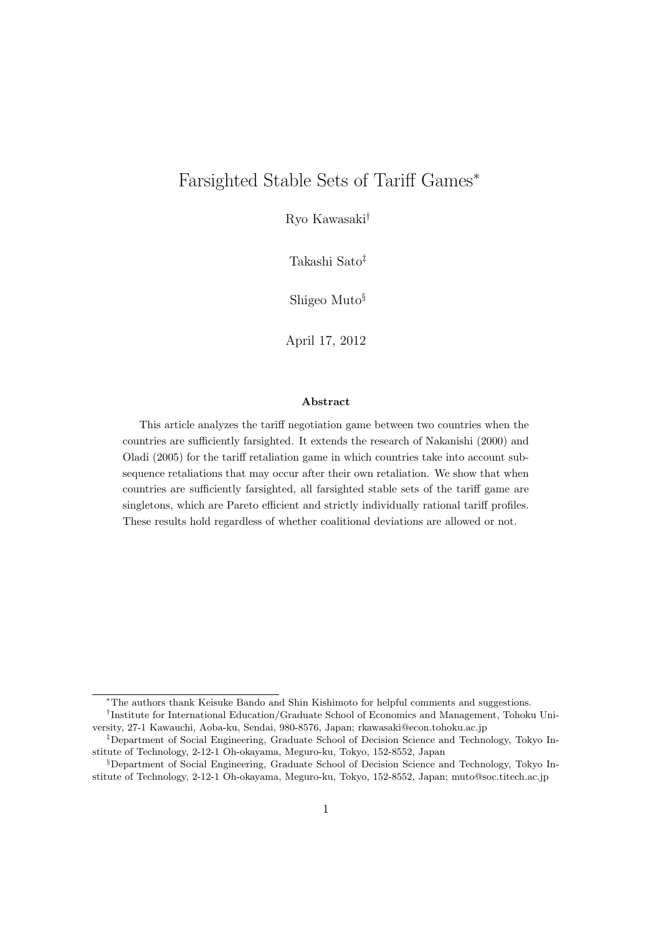# Farsighted Stable Sets of Tariff Games<sup>∗</sup>

Ryo Kawasaki†

Takashi Sato‡

Shigeo Muto§

April 17, 2012

#### Abstract

This article analyzes the tariff negotiation game between two countries when the countries are sufficiently farsighted. It extends the research of Nakanishi (2000) and Oladi (2005) for the tariff retaliation game in which countries take into account subsequence retaliations that may occur after their own retaliation. We show that when countries are sufficiently farsighted, all farsighted stable sets of the tariff game are singletons, which are Pareto efficient and strictly individually rational tariff profiles. These results hold regardless of whether coalitional deviations are allowed or not.

<sup>∗</sup>The authors thank Keisuke Bando and Shin Kishimoto for helpful comments and suggestions.

<sup>†</sup> Institute for International Education/Graduate School of Economics and Management, Tohoku University, 27-1 Kawauchi, Aoba-ku, Sendai, 980-8576, Japan; rkawasaki@econ.tohoku.ac.jp

<sup>‡</sup>Department of Social Engineering, Graduate School of Decision Science and Technology, Tokyo Institute of Technology, 2-12-1 Oh-okayama, Meguro-ku, Tokyo, 152-8552, Japan

<sup>§</sup>Department of Social Engineering, Graduate School of Decision Science and Technology, Tokyo Institute of Technology, 2-12-1 Oh-okayama, Meguro-ku, Tokyo, 152-8552, Japan; muto@soc.titech.ac.jp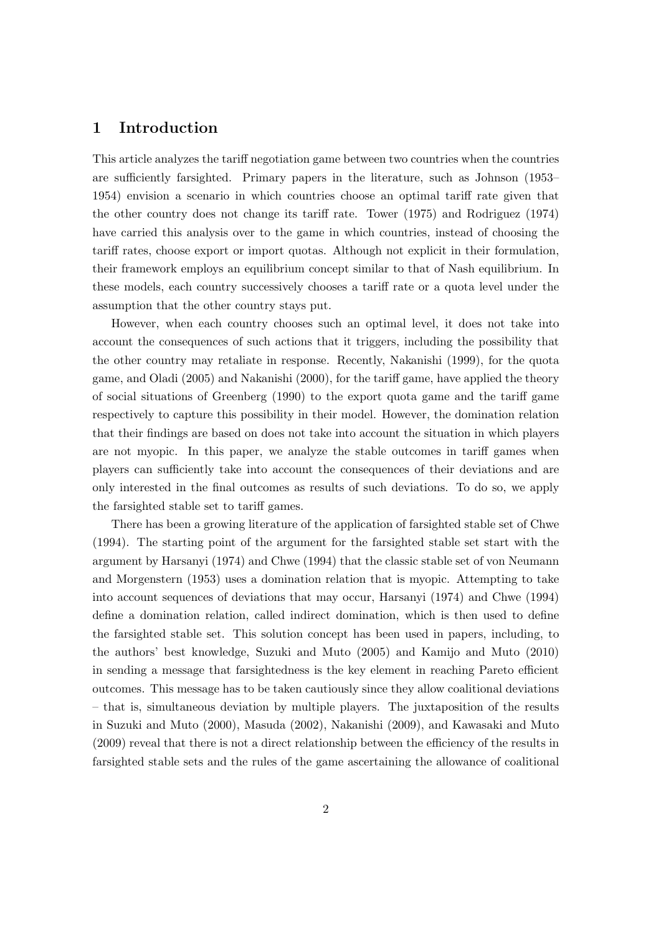### 1 Introduction

This article analyzes the tariff negotiation game between two countries when the countries are sufficiently farsighted. Primary papers in the literature, such as Johnson (1953– 1954) envision a scenario in which countries choose an optimal tariff rate given that the other country does not change its tariff rate. Tower (1975) and Rodriguez (1974) have carried this analysis over to the game in which countries, instead of choosing the tariff rates, choose export or import quotas. Although not explicit in their formulation, their framework employs an equilibrium concept similar to that of Nash equilibrium. In these models, each country successively chooses a tariff rate or a quota level under the assumption that the other country stays put.

However, when each country chooses such an optimal level, it does not take into account the consequences of such actions that it triggers, including the possibility that the other country may retaliate in response. Recently, Nakanishi (1999), for the quota game, and Oladi (2005) and Nakanishi (2000), for the tariff game, have applied the theory of social situations of Greenberg (1990) to the export quota game and the tariff game respectively to capture this possibility in their model. However, the domination relation that their findings are based on does not take into account the situation in which players are not myopic. In this paper, we analyze the stable outcomes in tariff games when players can sufficiently take into account the consequences of their deviations and are only interested in the final outcomes as results of such deviations. To do so, we apply the farsighted stable set to tariff games.

There has been a growing literature of the application of farsighted stable set of Chwe (1994). The starting point of the argument for the farsighted stable set start with the argument by Harsanyi (1974) and Chwe (1994) that the classic stable set of von Neumann and Morgenstern (1953) uses a domination relation that is myopic. Attempting to take into account sequences of deviations that may occur, Harsanyi (1974) and Chwe (1994) define a domination relation, called indirect domination, which is then used to define the farsighted stable set. This solution concept has been used in papers, including, to the authors' best knowledge, Suzuki and Muto (2005) and Kamijo and Muto (2010) in sending a message that farsightedness is the key element in reaching Pareto efficient outcomes. This message has to be taken cautiously since they allow coalitional deviations – that is, simultaneous deviation by multiple players. The juxtaposition of the results in Suzuki and Muto (2000), Masuda (2002), Nakanishi (2009), and Kawasaki and Muto (2009) reveal that there is not a direct relationship between the efficiency of the results in farsighted stable sets and the rules of the game ascertaining the allowance of coalitional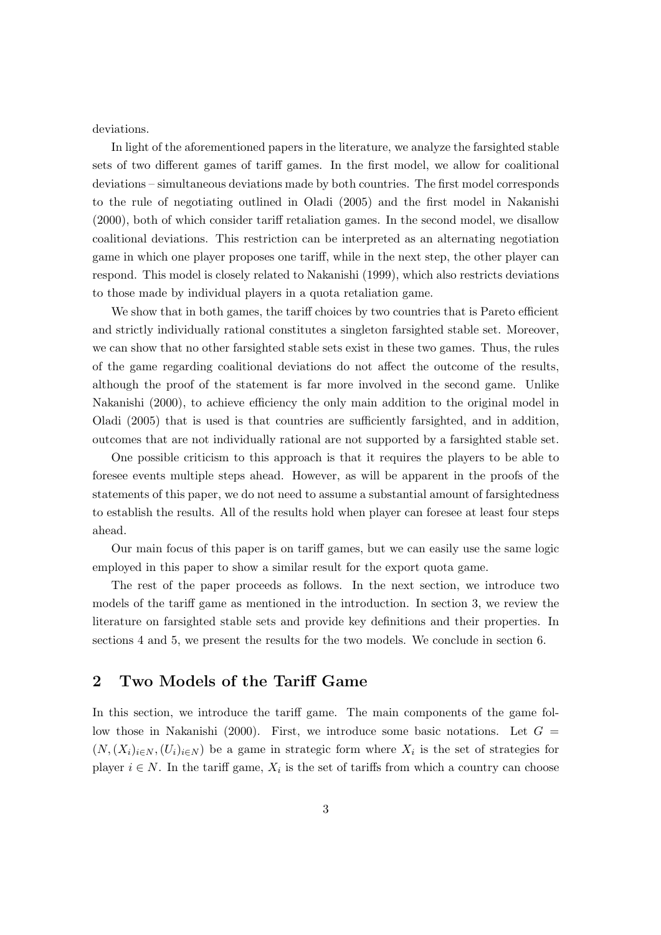deviations.

In light of the aforementioned papers in the literature, we analyze the farsighted stable sets of two different games of tariff games. In the first model, we allow for coalitional deviations – simultaneous deviations made by both countries. The first model corresponds to the rule of negotiating outlined in Oladi (2005) and the first model in Nakanishi (2000), both of which consider tariff retaliation games. In the second model, we disallow coalitional deviations. This restriction can be interpreted as an alternating negotiation game in which one player proposes one tariff, while in the next step, the other player can respond. This model is closely related to Nakanishi (1999), which also restricts deviations to those made by individual players in a quota retaliation game.

We show that in both games, the tariff choices by two countries that is Pareto efficient and strictly individually rational constitutes a singleton farsighted stable set. Moreover, we can show that no other farsighted stable sets exist in these two games. Thus, the rules of the game regarding coalitional deviations do not affect the outcome of the results, although the proof of the statement is far more involved in the second game. Unlike Nakanishi (2000), to achieve efficiency the only main addition to the original model in Oladi (2005) that is used is that countries are sufficiently farsighted, and in addition, outcomes that are not individually rational are not supported by a farsighted stable set.

One possible criticism to this approach is that it requires the players to be able to foresee events multiple steps ahead. However, as will be apparent in the proofs of the statements of this paper, we do not need to assume a substantial amount of farsightedness to establish the results. All of the results hold when player can foresee at least four steps ahead.

Our main focus of this paper is on tariff games, but we can easily use the same logic employed in this paper to show a similar result for the export quota game.

The rest of the paper proceeds as follows. In the next section, we introduce two models of the tariff game as mentioned in the introduction. In section 3, we review the literature on farsighted stable sets and provide key definitions and their properties. In sections 4 and 5, we present the results for the two models. We conclude in section 6.

### 2 Two Models of the Tariff Game

In this section, we introduce the tariff game. The main components of the game follow those in Nakanishi (2000). First, we introduce some basic notations. Let  $G =$  $(N,(X_i)_{i\in N},(U_i)_{i\in N})$  be a game in strategic form where  $X_i$  is the set of strategies for player  $i \in N$ . In the tariff game,  $X_i$  is the set of tariffs from which a country can choose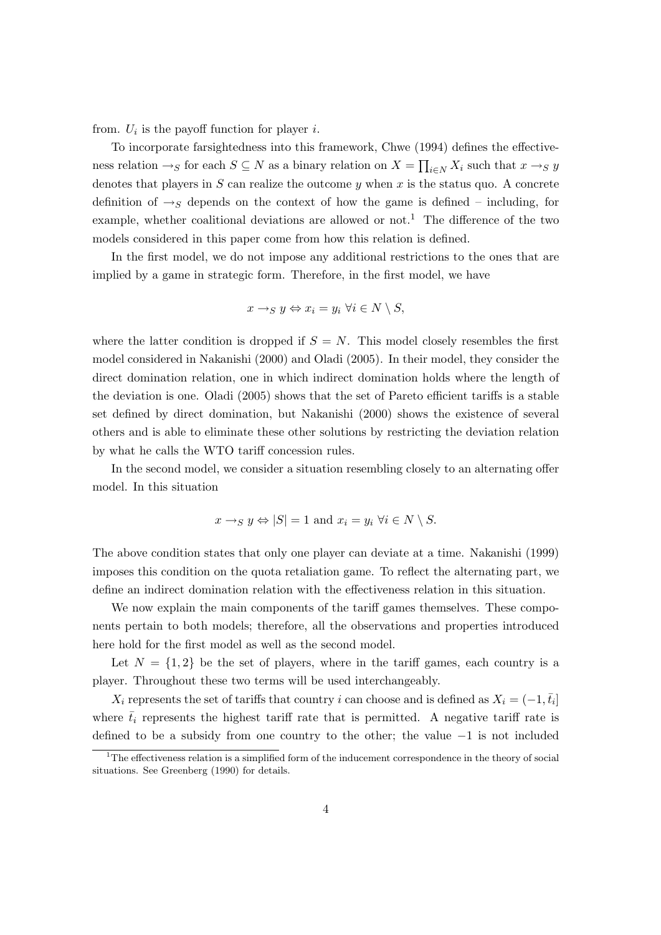from.  $U_i$  is the payoff function for player *i*.

To incorporate farsightedness into this framework, Chwe (1994) defines the effectiveness relation  $\rightarrow_S$  for each  $S \subseteq N$  as a binary relation on  $X = \prod_{i \in N} X_i$  such that  $x \rightarrow_S y$ denotes that players in  $S$  can realize the outcome  $y$  when  $x$  is the status quo. A concrete definition of  $\rightarrow_S$  depends on the context of how the game is defined – including, for example, whether coalitional deviations are allowed or not.<sup>1</sup> The difference of the two models considered in this paper come from how this relation is defined.

In the first model, we do not impose any additional restrictions to the ones that are implied by a game in strategic form. Therefore, in the first model, we have

$$
x \to_{S} y \Leftrightarrow x_{i} = y_{i} \ \forall i \in N \setminus S,
$$

where the latter condition is dropped if  $S = N$ . This model closely resembles the first model considered in Nakanishi (2000) and Oladi (2005). In their model, they consider the direct domination relation, one in which indirect domination holds where the length of the deviation is one. Oladi (2005) shows that the set of Pareto efficient tariffs is a stable set defined by direct domination, but Nakanishi (2000) shows the existence of several others and is able to eliminate these other solutions by restricting the deviation relation by what he calls the WTO tariff concession rules.

In the second model, we consider a situation resembling closely to an alternating offer model. In this situation

$$
x \to_S y \Leftrightarrow |S| = 1
$$
 and  $x_i = y_i \ \forall i \in N \setminus S$ .

The above condition states that only one player can deviate at a time. Nakanishi (1999) imposes this condition on the quota retaliation game. To reflect the alternating part, we define an indirect domination relation with the effectiveness relation in this situation.

We now explain the main components of the tariff games themselves. These components pertain to both models; therefore, all the observations and properties introduced here hold for the first model as well as the second model.

Let  $N = \{1, 2\}$  be the set of players, where in the tariff games, each country is a player. Throughout these two terms will be used interchangeably.

 $X_i$  represents the set of tariffs that country i can choose and is defined as  $X_i = (-1, \bar{t}_i]$ where  $\bar{t}_i$  represents the highest tariff rate that is permitted. A negative tariff rate is defined to be a subsidy from one country to the other; the value −1 is not included

 $1$ The effectiveness relation is a simplified form of the inducement correspondence in the theory of social situations. See Greenberg (1990) for details.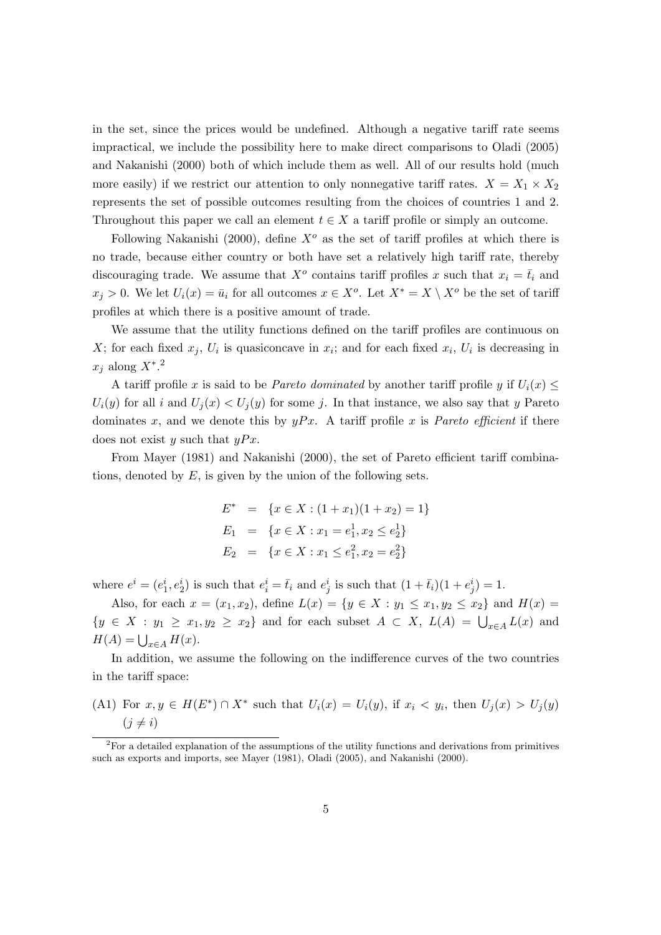in the set, since the prices would be undefined. Although a negative tariff rate seems impractical, we include the possibility here to make direct comparisons to Oladi (2005) and Nakanishi (2000) both of which include them as well. All of our results hold (much more easily) if we restrict our attention to only nonnegative tariff rates.  $X = X_1 \times X_2$ represents the set of possible outcomes resulting from the choices of countries 1 and 2. Throughout this paper we call an element  $t \in X$  a tariff profile or simply an outcome.

Following Nakanishi (2000), define  $X^{\circ}$  as the set of tariff profiles at which there is no trade, because either country or both have set a relatively high tariff rate, thereby discouraging trade. We assume that  $X^o$  contains tariff profiles x such that  $x_i = \overline{t}_i$  and  $x_j > 0$ . We let  $U_i(x) = \bar{u}_i$  for all outcomes  $x \in X^o$ . Let  $X^* = X \setminus X^o$  be the set of tariff profiles at which there is a positive amount of trade.

We assume that the utility functions defined on the tariff profiles are continuous on X; for each fixed  $x_j$ ,  $U_i$  is quasiconcave in  $x_i$ ; and for each fixed  $x_i$ ,  $U_i$  is decreasing in  $x_j$  along  $X^*$ .<sup>2</sup>

A tariff profile x is said to be *Pareto dominated* by another tariff profile y if  $U_i(x) \leq$  $U_i(y)$  for all i and  $U_j(x) < U_j(y)$  for some j. In that instance, we also say that y Pareto dominates x, and we denote this by  $yPx$ . A tariff profile x is *Pareto efficient* if there does not exist y such that  $yPx$ .

From Mayer (1981) and Nakanishi (2000), the set of Pareto efficient tariff combinations, denoted by  $E$ , is given by the union of the following sets.

$$
E^* = \{x \in X : (1 + x_1)(1 + x_2) = 1\}
$$
  
\n
$$
E_1 = \{x \in X : x_1 = e_1^1, x_2 \le e_2^1\}
$$
  
\n
$$
E_2 = \{x \in X : x_1 \le e_1^2, x_2 = e_2^2\}
$$

where  $e^i = (e_1^i, e_2^i)$  is such that  $e_i^i = \overline{t}_i$  and  $e_j^i$  is such that  $(1 + \overline{t}_i)(1 + e_j^i) = 1$ .

Also, for each  $x = (x_1, x_2)$ , define  $L(x) = \{y \in X : y_1 \le x_1, y_2 \le x_2\}$  and  $H(x) =$  ${y \in X : y_1 \geq x_1, y_2 \geq x_2}$  and for each subset  $A \subset X$ ,  $L(A) = \bigcup_{x \in A} L(x)$  and  $H(A) = \bigcup_{x \in A} H(x).$ 

In addition, we assume the following on the indifference curves of the two countries in the tariff space:

(A1) For  $x, y \in H(E^*) \cap X^*$  such that  $U_i(x) = U_i(y)$ , if  $x_i \langle y_i, y_i \rangle$  then  $U_j(x) > U_j(y)$  $(j \neq i)$ 

<sup>2</sup>For a detailed explanation of the assumptions of the utility functions and derivations from primitives such as exports and imports, see Mayer (1981), Oladi (2005), and Nakanishi (2000).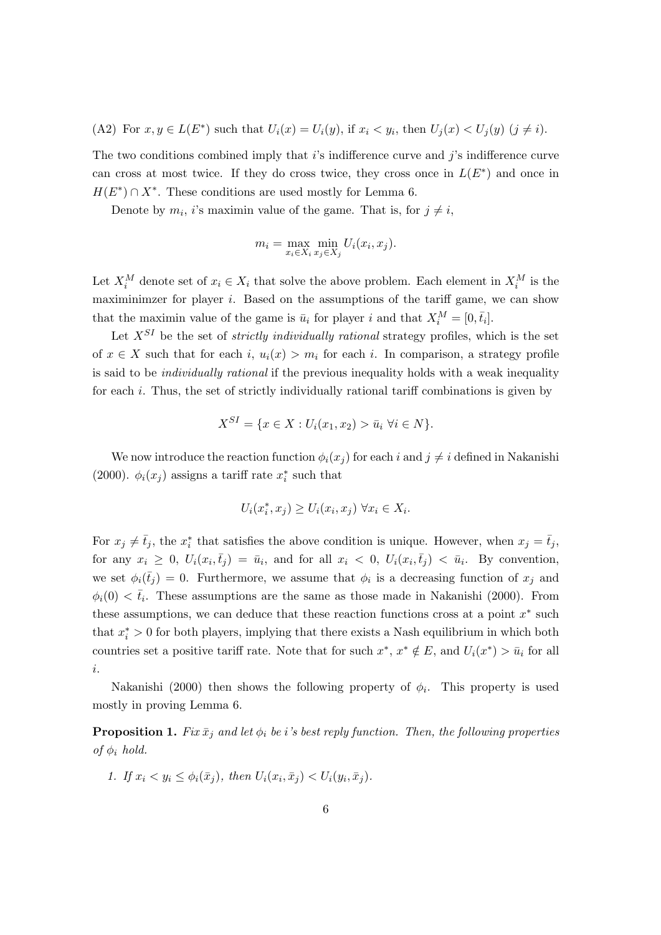(A2) For  $x, y \in L(E^*)$  such that  $U_i(x) = U_i(y)$ , if  $x_i < y_i$ , then  $U_j(x) < U_j(y)$   $(j \neq i)$ .

The two conditions combined imply that  $i$ 's indifference curve and  $j$ 's indifference curve can cross at most twice. If they do cross twice, they cross once in  $L(E^*)$  and once in  $H(E^*) \cap X^*$ . These conditions are used mostly for Lemma 6.

Denote by  $m_i$ , *i*'s maximin value of the game. That is, for  $j \neq i$ ,

$$
m_i = \max_{x_i \in X_i} \min_{x_j \in X_j} U_i(x_i, x_j).
$$

Let  $X_i^M$  denote set of  $x_i \in X_i$  that solve the above problem. Each element in  $X_i^M$  is the maximinimzer for player  $i$ . Based on the assumptions of the tariff game, we can show that the maximin value of the game is  $\bar{u}_i$  for player i and that  $X_i^M = [0, \bar{t}_i]$ .

Let  $X^{SI}$  be the set of *strictly individually rational* strategy profiles, which is the set of  $x \in X$  such that for each i,  $u_i(x) > m_i$  for each i. In comparison, a strategy profile is said to be individually rational if the previous inequality holds with a weak inequality for each i. Thus, the set of strictly individually rational tariff combinations is given by

$$
X^{SI} = \{ x \in X : U_i(x_1, x_2) > \bar{u}_i \,\,\forall i \in N \}.
$$

We now introduce the reaction function  $\phi_i(x_i)$  for each i and  $j \neq i$  defined in Nakanishi (2000).  $\phi_i(x_j)$  assigns a tariff rate  $x_i^*$  such that

$$
U_i(x_i^*, x_j) \ge U_i(x_i, x_j) \,\forall x_i \in X_i.
$$

For  $x_j \neq \bar{t}_j$ , the  $x_i^*$  that satisfies the above condition is unique. However, when  $x_j = \bar{t}_j$ , for any  $x_i \geq 0$ ,  $U_i(x_i, \bar{t}_j) = \bar{u}_i$ , and for all  $x_i < 0$ ,  $U_i(x_i, \bar{t}_j) < \bar{u}_i$ . By convention, we set  $\phi_i(\bar{t}_j) = 0$ . Furthermore, we assume that  $\phi_i$  is a decreasing function of  $x_j$  and  $\phi_i(0) < \bar{t}_i$ . These assumptions are the same as those made in Nakanishi (2000). From these assumptions, we can deduce that these reaction functions cross at a point  $x^*$  such that  $x_i^* > 0$  for both players, implying that there exists a Nash equilibrium in which both countries set a positive tariff rate. Note that for such  $x^*, x^* \notin E$ , and  $U_i(x^*) > \bar{u}_i$  for all i.

Nakanishi (2000) then shows the following property of  $\phi_i$ . This property is used mostly in proving Lemma 6.

**Proposition 1.** Fix  $\bar{x}_j$  and let  $\phi_i$  be i's best reply function. Then, the following properties of  $\phi_i$  hold.

1. If 
$$
x_i < y_i \leq \phi_i(\bar{x}_j)
$$
, then  $U_i(x_i, \bar{x}_j) < U_i(y_i, \bar{x}_j)$ .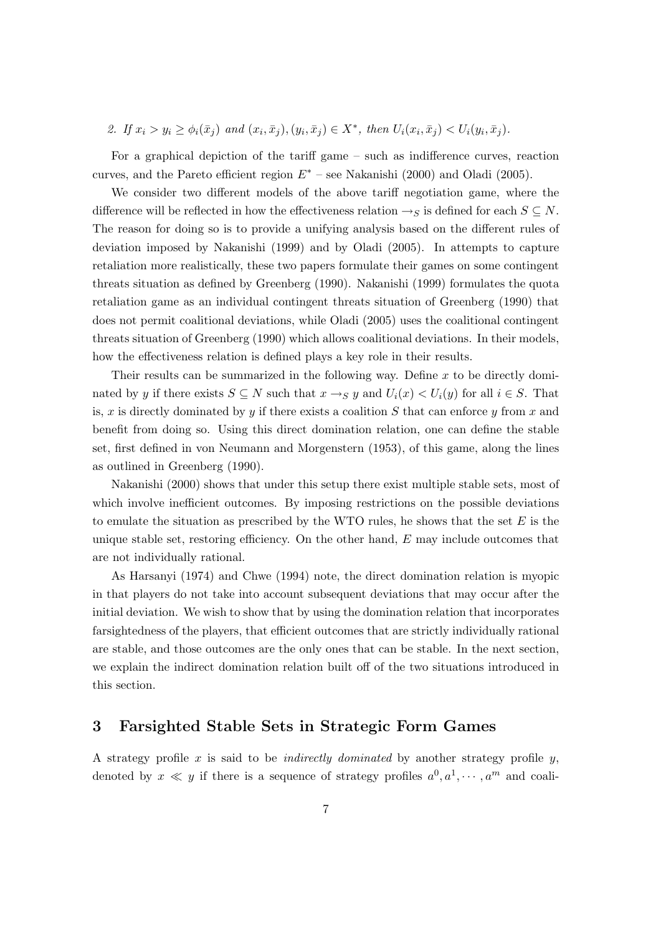2. If  $x_i > y_i \ge \phi_i(\bar{x}_j)$  and  $(x_i, \bar{x}_j), (y_i, \bar{x}_j) \in X^*$ , then  $U_i(x_i, \bar{x}_j) < U_i(y_i, \bar{x}_j)$ .

For a graphical depiction of the tariff game – such as indifference curves, reaction curves, and the Pareto efficient region  $E^*$  – see Nakanishi (2000) and Oladi (2005).

We consider two different models of the above tariff negotiation game, where the difference will be reflected in how the effectiveness relation  $\rightarrow_S$  is defined for each  $S \subseteq N$ . The reason for doing so is to provide a unifying analysis based on the different rules of deviation imposed by Nakanishi (1999) and by Oladi (2005). In attempts to capture retaliation more realistically, these two papers formulate their games on some contingent threats situation as defined by Greenberg (1990). Nakanishi (1999) formulates the quota retaliation game as an individual contingent threats situation of Greenberg (1990) that does not permit coalitional deviations, while Oladi (2005) uses the coalitional contingent threats situation of Greenberg (1990) which allows coalitional deviations. In their models, how the effectiveness relation is defined plays a key role in their results.

Their results can be summarized in the following way. Define  $x$  to be directly dominated by y if there exists  $S \subseteq N$  such that  $x \to_S y$  and  $U_i(x) < U_i(y)$  for all  $i \in S$ . That is, x is directly dominated by y if there exists a coalition  $S$  that can enforce y from x and benefit from doing so. Using this direct domination relation, one can define the stable set, first defined in von Neumann and Morgenstern (1953), of this game, along the lines as outlined in Greenberg (1990).

Nakanishi (2000) shows that under this setup there exist multiple stable sets, most of which involve inefficient outcomes. By imposing restrictions on the possible deviations to emulate the situation as prescribed by the WTO rules, he shows that the set  $E$  is the unique stable set, restoring efficiency. On the other hand,  $E$  may include outcomes that are not individually rational.

As Harsanyi (1974) and Chwe (1994) note, the direct domination relation is myopic in that players do not take into account subsequent deviations that may occur after the initial deviation. We wish to show that by using the domination relation that incorporates farsightedness of the players, that efficient outcomes that are strictly individually rational are stable, and those outcomes are the only ones that can be stable. In the next section, we explain the indirect domination relation built off of the two situations introduced in this section.

### 3 Farsighted Stable Sets in Strategic Form Games

A strategy profile  $x$  is said to be *indirectly dominated* by another strategy profile  $y$ , denoted by  $x \ll y$  if there is a sequence of strategy profiles  $a^0, a^1, \cdots, a^m$  and coali-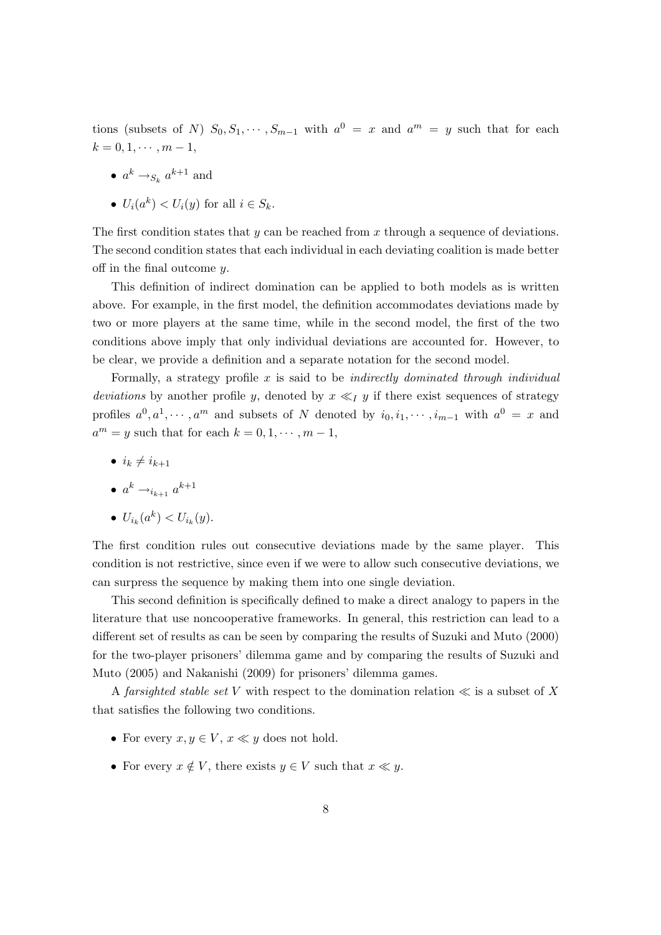tions (subsets of N)  $S_0, S_1, \cdots, S_{m-1}$  with  $a^0 = x$  and  $a^m = y$  such that for each  $k = 0, 1, \cdots, m - 1,$ 

• 
$$
a^k \rightarrow_{S_k} a^{k+1}
$$
 and

• 
$$
U_i(a^k) < U_i(y)
$$
 for all  $i \in S_k$ .

The first condition states that  $y$  can be reached from x through a sequence of deviations. The second condition states that each individual in each deviating coalition is made better off in the final outcome  $y$ .

This definition of indirect domination can be applied to both models as is written above. For example, in the first model, the definition accommodates deviations made by two or more players at the same time, while in the second model, the first of the two conditions above imply that only individual deviations are accounted for. However, to be clear, we provide a definition and a separate notation for the second model.

Formally, a strategy profile  $x$  is said to be *indirectly dominated through individual* deviations by another profile y, denoted by  $x \ll_l y$  if there exist sequences of strategy profiles  $a^0, a^1, \dots, a^m$  and subsets of N denoted by  $i_0, i_1, \dots, i_{m-1}$  with  $a^0 = x$  and  $a^m = y$  such that for each  $k = 0, 1, \dots, m - 1$ ,

•  $i_k \neq i_{k+1}$ 

$$
\bullet\;\;a^k\rightarrow_{i_{k+1}}a^{k+1}
$$

$$
\bullet \ \ U_{i_k}(a^k) < U_{i_k}(y).
$$

The first condition rules out consecutive deviations made by the same player. This condition is not restrictive, since even if we were to allow such consecutive deviations, we can surpress the sequence by making them into one single deviation.

This second definition is specifically defined to make a direct analogy to papers in the literature that use noncooperative frameworks. In general, this restriction can lead to a different set of results as can be seen by comparing the results of Suzuki and Muto (2000) for the two-player prisoners' dilemma game and by comparing the results of Suzuki and Muto (2005) and Nakanishi (2009) for prisoners' dilemma games.

A farsighted stable set V with respect to the domination relation  $\ll$  is a subset of X that satisfies the following two conditions.

- For every  $x, y \in V$ ,  $x \ll y$  does not hold.
- For every  $x \notin V$ , there exists  $y \in V$  such that  $x \ll y$ .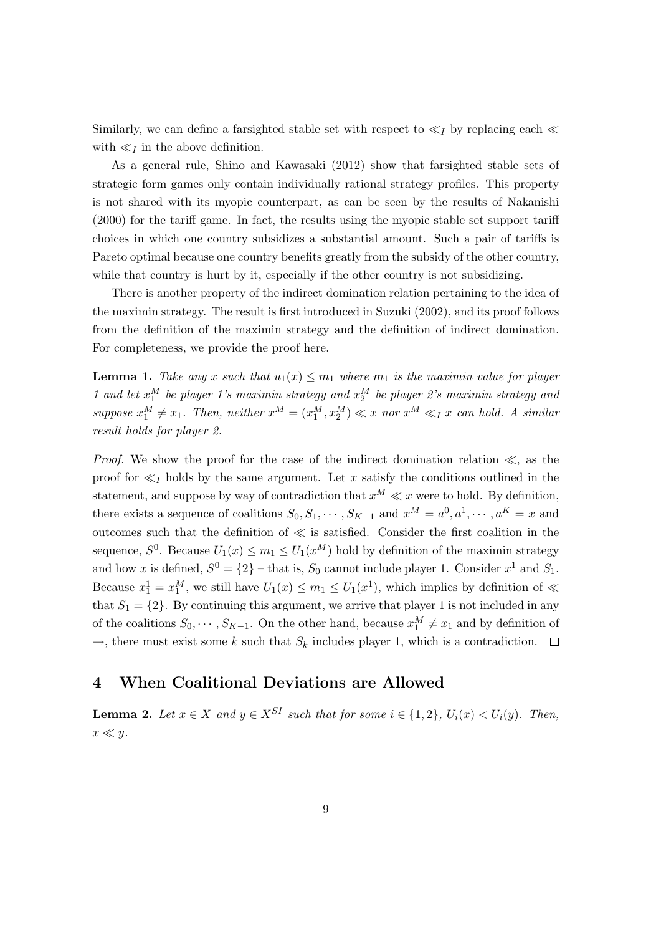Similarly, we can define a farsighted stable set with respect to  $\ll_l$  by replacing each  $\ll$ with  $\ll_I$  in the above definition.

As a general rule, Shino and Kawasaki (2012) show that farsighted stable sets of strategic form games only contain individually rational strategy profiles. This property is not shared with its myopic counterpart, as can be seen by the results of Nakanishi (2000) for the tariff game. In fact, the results using the myopic stable set support tariff choices in which one country subsidizes a substantial amount. Such a pair of tariffs is Pareto optimal because one country benefits greatly from the subsidy of the other country, while that country is hurt by it, especially if the other country is not subsidizing.

There is another property of the indirect domination relation pertaining to the idea of the maximin strategy. The result is first introduced in Suzuki (2002), and its proof follows from the definition of the maximin strategy and the definition of indirect domination. For completeness, we provide the proof here.

**Lemma 1.** Take any x such that  $u_1(x) \leq m_1$  where  $m_1$  is the maximin value for player 1 and let  $x_1^M$  be player 1's maximin strategy and  $x_2^M$  be player 2's maximin strategy and suppose  $x_1^M \neq x_1$ . Then, neither  $x^M = (x_1^M, x_2^M) \ll x$  nor  $x^M \ll_I x$  can hold. A similar result holds for player 2.

*Proof.* We show the proof for the case of the indirect domination relation  $\ll$ , as the proof for  $\ll_I$  holds by the same argument. Let x satisfy the conditions outlined in the statement, and suppose by way of contradiction that  $x^M \ll x$  were to hold. By definition, there exists a sequence of coalitions  $S_0, S_1, \cdots, S_{K-1}$  and  $x^M = a^0, a^1, \cdots, a^K = x$  and outcomes such that the definition of  $\ll$  is satisfied. Consider the first coalition in the sequence,  $S^0$ . Because  $U_1(x) \le m_1 \le U_1(x^M)$  hold by definition of the maximin strategy and how x is defined,  $S^0 = \{2\}$  – that is,  $S_0$  cannot include player 1. Consider  $x^1$  and  $S_1$ . Because  $x_1^1 = x_1^M$ , we still have  $U_1(x) \le m_1 \le U_1(x^1)$ , which implies by definition of  $\ll$ that  $S_1 = \{2\}$ . By continuing this argument, we arrive that player 1 is not included in any of the coalitions  $S_0, \dots, S_{K-1}$ . On the other hand, because  $x_1^M \neq x_1$  and by definition of  $\rightarrow$ , there must exist some k such that  $S_k$  includes player 1, which is a contradiction.  $\Box$ 

### 4 When Coalitional Deviations are Allowed

**Lemma 2.** Let  $x \in X$  and  $y \in X^{SI}$  such that for some  $i \in \{1,2\}$ ,  $U_i(x) < U_i(y)$ . Then,  $x \ll y$ .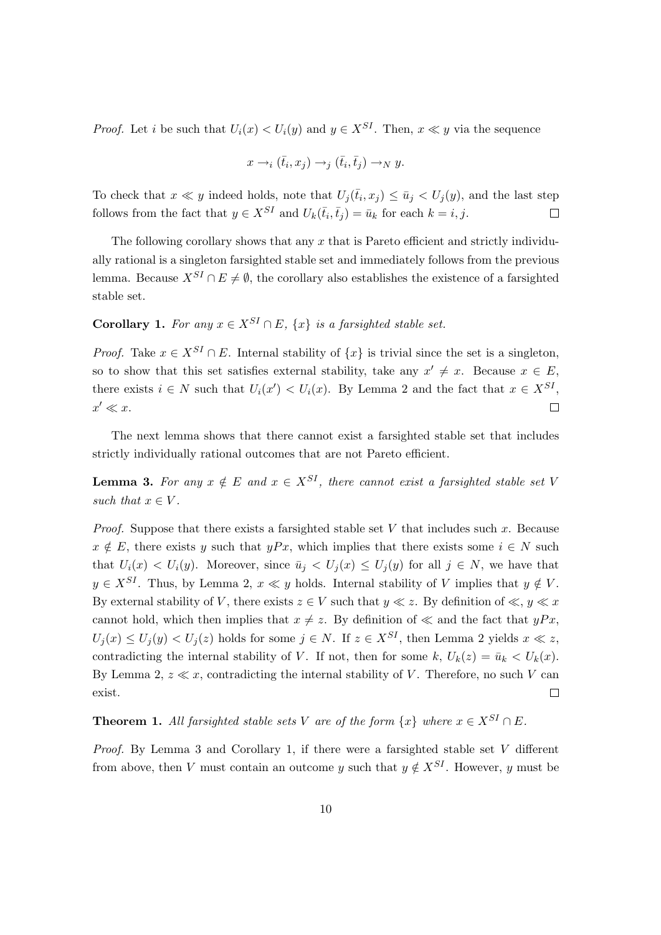*Proof.* Let i be such that  $U_i(x) < U_i(y)$  and  $y \in X^{SI}$ . Then,  $x \ll y$  via the sequence

$$
x \to_i (\bar{t}_i, x_j) \to_j (\bar{t}_i, \bar{t}_j) \to_N y.
$$

To check that  $x \ll y$  indeed holds, note that  $U_j(\bar{t}_i, x_j) \leq \bar{u}_j < U_j(y)$ , and the last step follows from the fact that  $y \in X^{SI}$  and  $U_k(\bar{t}_i, \bar{t}_j) = \bar{u}_k$  for each  $k = i, j$ .  $\Box$ 

The following corollary shows that any  $x$  that is Pareto efficient and strictly individually rational is a singleton farsighted stable set and immediately follows from the previous lemma. Because  $X^{SI} \cap E \neq \emptyset$ , the corollary also establishes the existence of a farsighted stable set.

## Corollary 1. For any  $x \in X^{SI} \cap E$ ,  $\{x\}$  is a farsighted stable set.

*Proof.* Take  $x \in X^{SI} \cap E$ . Internal stability of  $\{x\}$  is trivial since the set is a singleton, so to show that this set satisfies external stability, take any  $x' \neq x$ . Because  $x \in E$ , there exists  $i \in N$  such that  $U_i(x') < U_i(x)$ . By Lemma 2 and the fact that  $x \in X^{SI}$ ,  $x' \ll x$ .  $\Box$ 

The next lemma shows that there cannot exist a farsighted stable set that includes strictly individually rational outcomes that are not Pareto efficient.

**Lemma 3.** For any  $x \notin E$  and  $x \in X^{SI}$ , there cannot exist a farsighted stable set V such that  $x \in V$ .

*Proof.* Suppose that there exists a farsighted stable set V that includes such x. Because  $x \notin E$ , there exists y such that  $yPx$ , which implies that there exists some  $i \in N$  such that  $U_i(x) < U_i(y)$ . Moreover, since  $\bar{u}_j < U_j(x) \le U_j(y)$  for all  $j \in N$ , we have that  $y \in X^{SI}$ . Thus, by Lemma 2,  $x \ll y$  holds. Internal stability of V implies that  $y \notin V$ . By external stability of V, there exists  $z \in V$  such that  $y \ll z$ . By definition of  $\ll$ ,  $y \ll x$ cannot hold, which then implies that  $x \neq z$ . By definition of  $\ll$  and the fact that  $yPx$ ,  $U_i(x) \leq U_i(y) \leq U_i(z)$  holds for some  $j \in N$ . If  $z \in X^{SI}$ , then Lemma 2 yields  $x \ll z$ , contradicting the internal stability of V. If not, then for some k,  $U_k(z) = \bar{u}_k < U_k(x)$ . By Lemma 2,  $z \ll x$ , contradicting the internal stability of V. Therefore, no such V can exist.  $\Box$ 

**Theorem 1.** All farsighted stable sets V are of the form  $\{x\}$  where  $x \in X^{SI} \cap E$ .

*Proof.* By Lemma 3 and Corollary 1, if there were a farsighted stable set  $V$  different from above, then V must contain an outcome y such that  $y \notin X^{SI}$ . However, y must be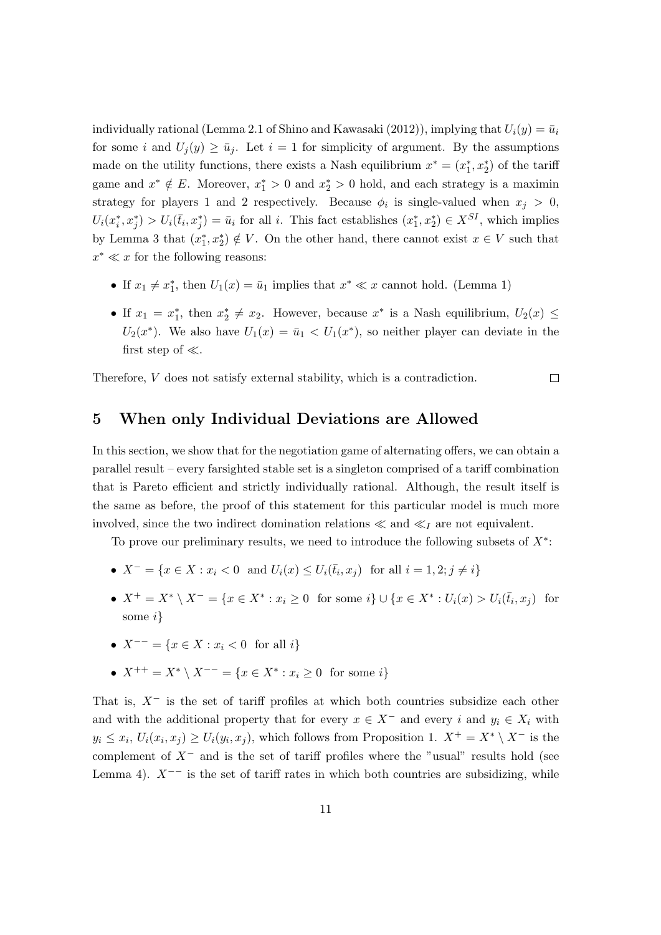individually rational (Lemma 2.1 of Shino and Kawasaki (2012)), implying that  $U_i(y) = \bar{u}_i$ for some i and  $U_i(y) \ge \bar{u}_i$ . Let  $i = 1$  for simplicity of argument. By the assumptions made on the utility functions, there exists a Nash equilibrium  $x^* = (x_1^*, x_2^*)$  of the tariff game and  $x^* \notin E$ . Moreover,  $x_1^* > 0$  and  $x_2^* > 0$  hold, and each strategy is a maximin strategy for players 1 and 2 respectively. Because  $\phi_i$  is single-valued when  $x_j > 0$ ,  $U_i(x_i^*,x_j^*) > U_i(\bar{t}_i,x_j^*) = \bar{u}_i$  for all i. This fact establishes  $(x_1^*,x_2^*) \in X^{SI}$ , which implies by Lemma 3 that  $(x_1^*, x_2^*) \notin V$ . On the other hand, there cannot exist  $x \in V$  such that  $x^* \ll x$  for the following reasons:

- If  $x_1 \neq x_1^*$ , then  $U_1(x) = \bar{u}_1$  implies that  $x^* \ll x$  cannot hold. (Lemma 1)
- If  $x_1 = x_1^*$ , then  $x_2^* \neq x_2$ . However, because  $x^*$  is a Nash equilibrium,  $U_2(x) \leq$  $U_2(x^*)$ . We also have  $U_1(x) = \bar{u}_1 < U_1(x^*)$ , so neither player can deviate in the first step of  $\ll$ .

Therefore, V does not satisfy external stability, which is a contradiction.

 $\Box$ 

### 5 When only Individual Deviations are Allowed

In this section, we show that for the negotiation game of alternating offers, we can obtain a parallel result – every farsighted stable set is a singleton comprised of a tariff combination that is Pareto efficient and strictly individually rational. Although, the result itself is the same as before, the proof of this statement for this particular model is much more involved, since the two indirect domination relations  $\ll$  and  $\ll_I$  are not equivalent.

To prove our preliminary results, we need to introduce the following subsets of  $X^*$ :

- $X^- = \{x \in X : x_i < 0 \text{ and } U_i(x) \leq U_i(\bar{t}_i, x_j) \text{ for all } i = 1, 2; j \neq i\}$
- $X^+ = X^* \setminus X^- = \{x \in X^* : x_i \ge 0 \text{ for some } i\} \cup \{x \in X^* : U_i(x) > U_i(\bar{t}_i, x_j) \text{ for } i \in I\}$ some i}
- $X^{--} = \{x \in X : x_i < 0 \text{ for all } i\}$
- $X^{++} = X^* \setminus X^{--} = \{x \in X^* : x_i \ge 0 \text{ for some } i\}$

That is,  $X^-$  is the set of tariff profiles at which both countries subsidize each other and with the additional property that for every  $x \in X^-$  and every i and  $y_i \in X_i$  with  $y_i \leq x_i$ ,  $U_i(x_i, x_j) \geq U_i(y_i, x_j)$ , which follows from Proposition 1.  $X^+ = X^* \setminus X^-$  is the complement of  $X^-$  and is the set of tariff profiles where the "usual" results hold (see Lemma 4).  $X^{--}$  is the set of tariff rates in which both countries are subsidizing, while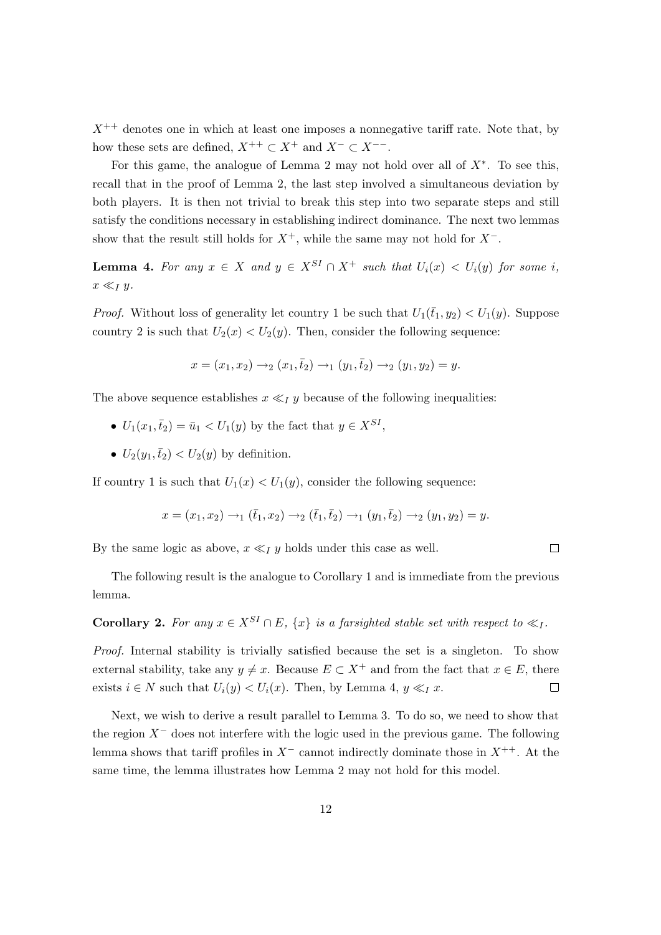$X^{++}$  denotes one in which at least one imposes a nonnegative tariff rate. Note that, by how these sets are defined,  $X^{++} \subset X^+$  and  $X^{-} \subset X^{--}$ .

For this game, the analogue of Lemma 2 may not hold over all of  $X^*$ . To see this, recall that in the proof of Lemma 2, the last step involved a simultaneous deviation by both players. It is then not trivial to break this step into two separate steps and still satisfy the conditions necessary in establishing indirect dominance. The next two lemmas show that the result still holds for  $X^+$ , while the same may not hold for  $X^-$ .

**Lemma 4.** For any  $x \in X$  and  $y \in X^{SI} \cap X^+$  such that  $U_i(x) < U_i(y)$  for some i,  $x \ll_I y$ .

*Proof.* Without loss of generality let country 1 be such that  $U_1(\bar{t}_1, y_2) < U_1(y)$ . Suppose country 2 is such that  $U_2(x) < U_2(y)$ . Then, consider the following sequence:

$$
x = (x_1, x_2) \rightarrow_2 (x_1, \bar{t}_2) \rightarrow_1 (y_1, \bar{t}_2) \rightarrow_2 (y_1, y_2) = y.
$$

The above sequence establishes  $x \ll_I y$  because of the following inequalities:

- $U_1(x_1, \bar{t}_2) = \bar{u}_1 < U_1(y)$  by the fact that  $y \in X^{SI}$ ,
- $U_2(y_1,\bar{t}_2) < U_2(y)$  by definition.

If country 1 is such that  $U_1(x) < U_1(y)$ , consider the following sequence:

$$
x = (x_1, x_2) \rightarrow_1 (\bar{t}_1, x_2) \rightarrow_2 (\bar{t}_1, \bar{t}_2) \rightarrow_1 (y_1, \bar{t}_2) \rightarrow_2 (y_1, y_2) = y.
$$

 $\Box$ 

By the same logic as above,  $x \ll_I y$  holds under this case as well.

The following result is the analogue to Corollary 1 and is immediate from the previous lemma.

Corollary 2. For any  $x \in X^{SI} \cap E$ ,  $\{x\}$  is a farsighted stable set with respect to  $\ll_I$ .

Proof. Internal stability is trivially satisfied because the set is a singleton. To show external stability, take any  $y \neq x$ . Because  $E \subset X^+$  and from the fact that  $x \in E$ , there exists  $i \in N$  such that  $U_i(y) < U_i(x)$ . Then, by Lemma 4,  $y \ll_I x$ .  $\Box$ 

Next, we wish to derive a result parallel to Lemma 3. To do so, we need to show that the region  $X^-$  does not interfere with the logic used in the previous game. The following lemma shows that tariff profiles in  $X^-$  cannot indirectly dominate those in  $X^{++}$ . At the same time, the lemma illustrates how Lemma 2 may not hold for this model.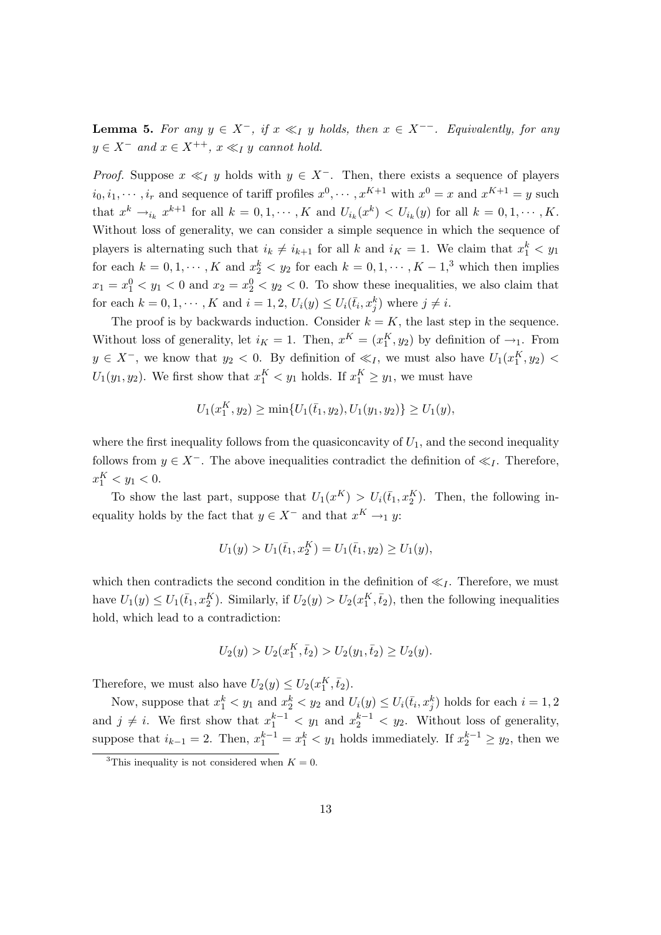**Lemma 5.** For any  $y \in X^-$ , if  $x \ll_1 y$  holds, then  $x \in X^{--}$ . Equivalently, for any  $y \in X^-$  and  $x \in X^{++}$ ,  $x \ll_I y$  cannot hold.

*Proof.* Suppose  $x \ll_I y$  holds with  $y \in X^-$ . Then, there exists a sequence of players  $i_0, i_1, \dots, i_r$  and sequence of tariff profiles  $x^0, \dots, x^{K+1}$  with  $x^0 = x$  and  $x^{K+1} = y$  such that  $x^k \to_{i_k} x^{k+1}$  for all  $k = 0, 1, \cdots, K$  and  $U_{i_k}(x^k) < U_{i_k}(y)$  for all  $k = 0, 1, \cdots, K$ . Without loss of generality, we can consider a simple sequence in which the sequence of players is alternating such that  $i_k \neq i_{k+1}$  for all k and  $i_K = 1$ . We claim that  $x_1^k < y_1$ for each  $k = 0, 1, \dots, K$  and  $x_2^k < y_2$  for each  $k = 0, 1, \dots, K - 1, \text{ and } K$  which then implies  $x_1 = x_1^0 < y_1 < 0$  and  $x_2 = x_2^0 < y_2 < 0$ . To show these inequalities, we also claim that for each  $k = 0, 1, \dots, K$  and  $i = 1, 2, U_i(y) \le U_i(\bar{t}_i, x_j^k)$  where  $j \ne i$ .

The proof is by backwards induction. Consider  $k = K$ , the last step in the sequence. Without loss of generality, let  $i_K = 1$ . Then,  $x^K = (x_1^K, y_2)$  by definition of  $\rightarrow_1$ . From  $y \in X^-$ , we know that  $y_2 < 0$ . By definition of  $\ll_I$ , we must also have  $U_1(x_1^K, y_2)$  $U_1(y_1, y_2)$ . We first show that  $x_1^K < y_1$  holds. If  $x_1^K \ge y_1$ , we must have

$$
U_1(x_1^K, y_2) \ge \min\{U_1(\bar{t}_1, y_2), U_1(y_1, y_2)\} \ge U_1(y),
$$

where the first inequality follows from the quasiconcavity of  $U_1$ , and the second inequality follows from  $y \in X^-$ . The above inequalities contradict the definition of  $\ll_I$ . Therefore,  $x_1^K < y_1 < 0.$ 

To show the last part, suppose that  $U_1(x^K) > U_i(\bar{t}_1, x^K_2)$ . Then, the following inequality holds by the fact that  $y \in X^-$  and that  $x^K \to_1 y$ :

$$
U_1(y) > U_1(\bar{t}_1, x_2^K) = U_1(\bar{t}_1, y_2) \ge U_1(y),
$$

which then contradicts the second condition in the definition of  $\ll_I$ . Therefore, we must have  $U_1(y) \le U_1(\bar{t}_1, x_2^K)$ . Similarly, if  $U_2(y) > U_2(x_1^K, \bar{t}_2)$ , then the following inequalities hold, which lead to a contradiction:

$$
U_2(y) > U_2(x_1^K, \bar{t}_2) > U_2(y_1, \bar{t}_2) \ge U_2(y).
$$

Therefore, we must also have  $U_2(y) \leq U_2(x_1^K, \bar{t}_2)$ .

Now, suppose that  $x_1^k < y_1$  and  $x_2^k < y_2$  and  $U_i(y) \le U_i(\bar{t}_i, x_j^k)$  holds for each  $i = 1, 2$ and  $j \neq i$ . We first show that  $x_1^{k-1} < y_1$  and  $x_2^{k-1} < y_2$ . Without loss of generality, suppose that  $i_{k-1} = 2$ . Then,  $x_1^{k-1} = x_1^k < y_1$  holds immediately. If  $x_2^{k-1} \ge y_2$ , then we

<sup>&</sup>lt;sup>3</sup>This inequality is not considered when  $K = 0$ .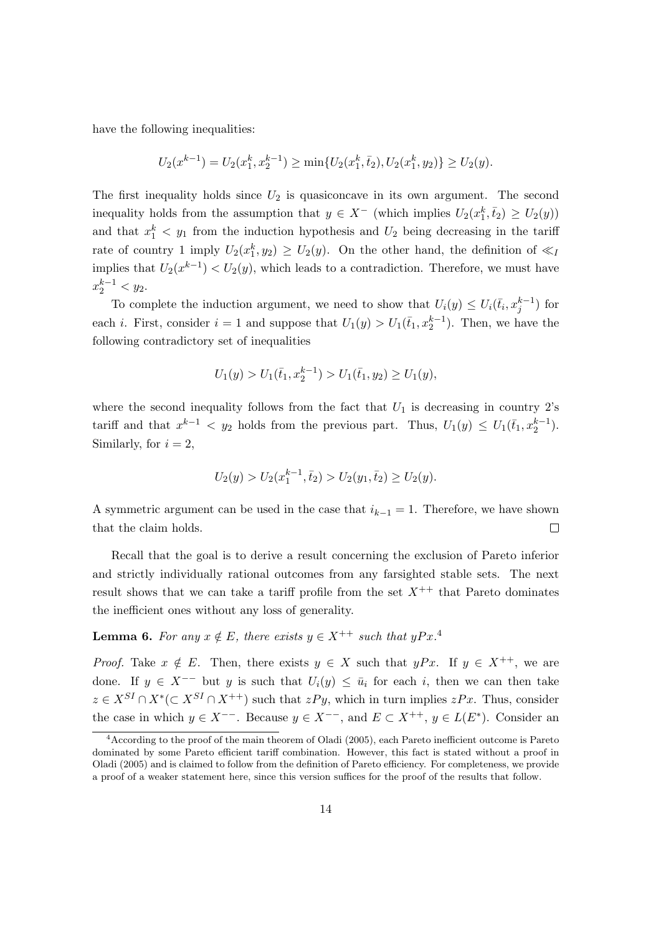have the following inequalities:

$$
U_2(x^{k-1}) = U_2(x_1^k, x_2^{k-1}) \ge \min\{U_2(x_1^k, \bar{t}_2), U_2(x_1^k, y_2)\} \ge U_2(y).
$$

The first inequality holds since  $U_2$  is quasiconcave in its own argument. The second inequality holds from the assumption that  $y \in X^-$  (which implies  $U_2(x_1^k, \bar{t}_2) \ge U_2(y)$ ) and that  $x_1^k$   $\lt y_1$  from the induction hypothesis and  $U_2$  being decreasing in the tariff rate of country 1 imply  $U_2(x_1^k, y_2) \ge U_2(y)$ . On the other hand, the definition of  $\ll_l$ implies that  $U_2(x^{k-1}) < U_2(y)$ , which leads to a contradiction. Therefore, we must have  $x_2^{k-1} < y_2.$ 

To complete the induction argument, we need to show that  $U_i(y) \leq U_i(\bar{t}_i, x_j^{k-1})$  for each *i*. First, consider  $i = 1$  and suppose that  $U_1(y) > U_1(\bar{t}_1, x_2^{k-1})$ . Then, we have the following contradictory set of inequalities

$$
U_1(y) > U_1(\bar{t}_1, x_2^{k-1}) > U_1(\bar{t}_1, y_2) \ge U_1(y),
$$

where the second inequality follows from the fact that  $U_1$  is decreasing in country  $2$ 's tariff and that  $x^{k-1} < y_2$  holds from the previous part. Thus,  $U_1(y) \le U_1(\bar{t}_1, x_2^{k-1})$ . Similarly, for  $i = 2$ ,

$$
U_2(y) > U_2(x_1^{k-1}, \bar{t}_2) > U_2(y_1, \bar{t}_2) \ge U_2(y).
$$

A symmetric argument can be used in the case that  $i_{k-1} = 1$ . Therefore, we have shown  $\Box$ that the claim holds.

Recall that the goal is to derive a result concerning the exclusion of Pareto inferior and strictly individually rational outcomes from any farsighted stable sets. The next result shows that we can take a tariff profile from the set  $X^{++}$  that Pareto dominates the inefficient ones without any loss of generality.

#### **Lemma 6.** For any  $x \notin E$ , there exists  $y \in X^{++}$  such that  $yPx^{A}$ .

*Proof.* Take  $x \notin E$ . Then, there exists  $y \in X$  such that  $yPx$ . If  $y \in X^{++}$ , we are done. If  $y \in X^{--}$  but y is such that  $U_i(y) \leq \bar{u}_i$  for each i, then we can then take  $z \in X^{SI} \cap X^* (\subset X^{SI} \cap X^{++})$  such that  $zPy$ , which in turn implies  $zPx$ . Thus, consider the case in which  $y \in X^{--}$ . Because  $y \in X^{--}$ , and  $E \subset X^{++}$ ,  $y \in L(E^*)$ . Consider an

<sup>4</sup>According to the proof of the main theorem of Oladi (2005), each Pareto inefficient outcome is Pareto dominated by some Pareto efficient tariff combination. However, this fact is stated without a proof in Oladi (2005) and is claimed to follow from the definition of Pareto efficiency. For completeness, we provide a proof of a weaker statement here, since this version suffices for the proof of the results that follow.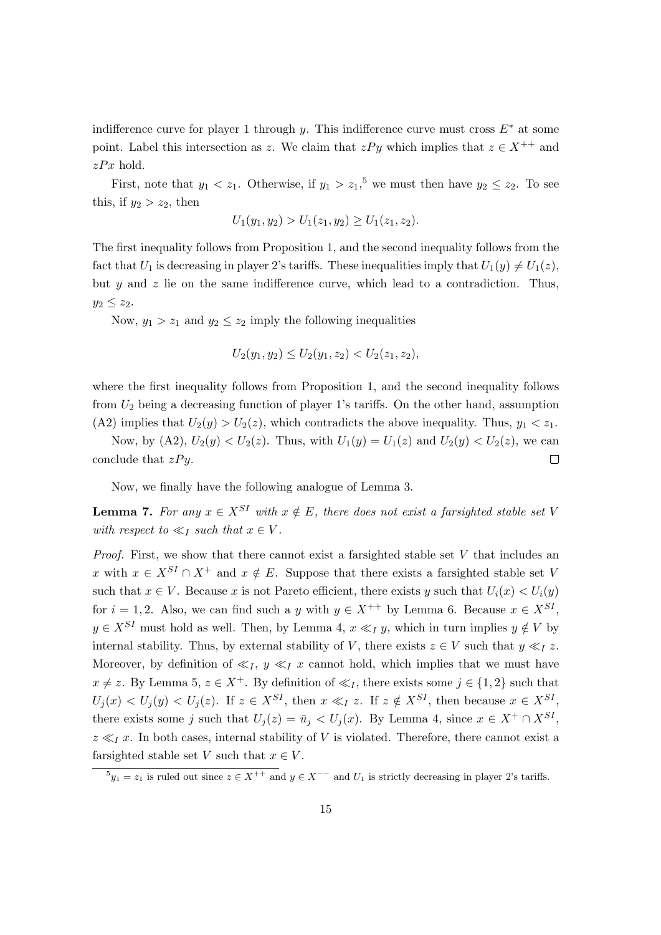indifference curve for player 1 through y. This indifference curve must cross  $E^*$  at some point. Label this intersection as z. We claim that  $zPy$  which implies that  $z \in X^{++}$  and  $zPx$  hold.

First, note that  $y_1 < z_1$ . Otherwise, if  $y_1 > z_1$ ,<sup>5</sup> we must then have  $y_2 \le z_2$ . To see this, if  $y_2 > z_2$ , then

$$
U_1(y_1, y_2) > U_1(z_1, y_2) \ge U_1(z_1, z_2).
$$

The first inequality follows from Proposition 1, and the second inequality follows from the fact that  $U_1$  is decreasing in player 2's tariffs. These inequalities imply that  $U_1(y) \neq U_1(z)$ , but  $y$  and  $z$  lie on the same indifference curve, which lead to a contradiction. Thus,  $y_2 \leq z_2$ .

Now,  $y_1 > z_1$  and  $y_2 \leq z_2$  imply the following inequalities

$$
U_2(y_1, y_2) \le U_2(y_1, z_2) < U_2(z_1, z_2),
$$

where the first inequality follows from Proposition 1, and the second inequality follows from  $U_2$  being a decreasing function of player 1's tariffs. On the other hand, assumption (A2) implies that  $U_2(y) > U_2(z)$ , which contradicts the above inequality. Thus,  $y_1 < z_1$ .

Now, by (A2),  $U_2(y) < U_2(z)$ . Thus, with  $U_1(y) = U_1(z)$  and  $U_2(y) < U_2(z)$ , we can conclude that  $zPy$ .  $\Box$ 

Now, we finally have the following analogue of Lemma 3.

**Lemma 7.** For any  $x \in X^{SI}$  with  $x \notin E$ , there does not exist a farsighted stable set V with respect to  $\ll_I$  such that  $x \in V$ .

*Proof.* First, we show that there cannot exist a farsighted stable set  $V$  that includes an x with  $x \in X^{SI} \cap X^+$  and  $x \notin E$ . Suppose that there exists a farsighted stable set V such that  $x \in V$ . Because x is not Pareto efficient, there exists y such that  $U_i(x) < U_i(y)$ for  $i = 1, 2$ . Also, we can find such a y with  $y \in X^{++}$  by Lemma 6. Because  $x \in X^{SI}$ ,  $y \in X^{SI}$  must hold as well. Then, by Lemma 4,  $x \ll_I y$ , which in turn implies  $y \notin V$  by internal stability. Thus, by external stability of V, there exists  $z \in V$  such that  $y \ll_I z$ . Moreover, by definition of  $\ll_I$ ,  $y \ll_I x$  cannot hold, which implies that we must have  $x \neq z$ . By Lemma 5,  $z \in X^+$ . By definition of  $\ll_I$ , there exists some  $j \in \{1,2\}$  such that  $U_j(x) < U_j(y) < U_j(z)$ . If  $z \in X^{SI}$ , then  $x \ll_I z$ . If  $z \notin X^{SI}$ , then because  $x \in X^{SI}$ , there exists some j such that  $U_j(z) = \bar{u}_j < U_j(x)$ . By Lemma 4, since  $x \in X^+ \cap X^{SI}$ ,  $z \ll_I x$ . In both cases, internal stability of V is violated. Therefore, there cannot exist a farsighted stable set V such that  $x \in V$ .

 ${}^5y_1 = z_1$  is ruled out since  $z \in X^{++}$  and  $y \in X^{--}$  and  $U_1$  is strictly decreasing in player 2's tariffs.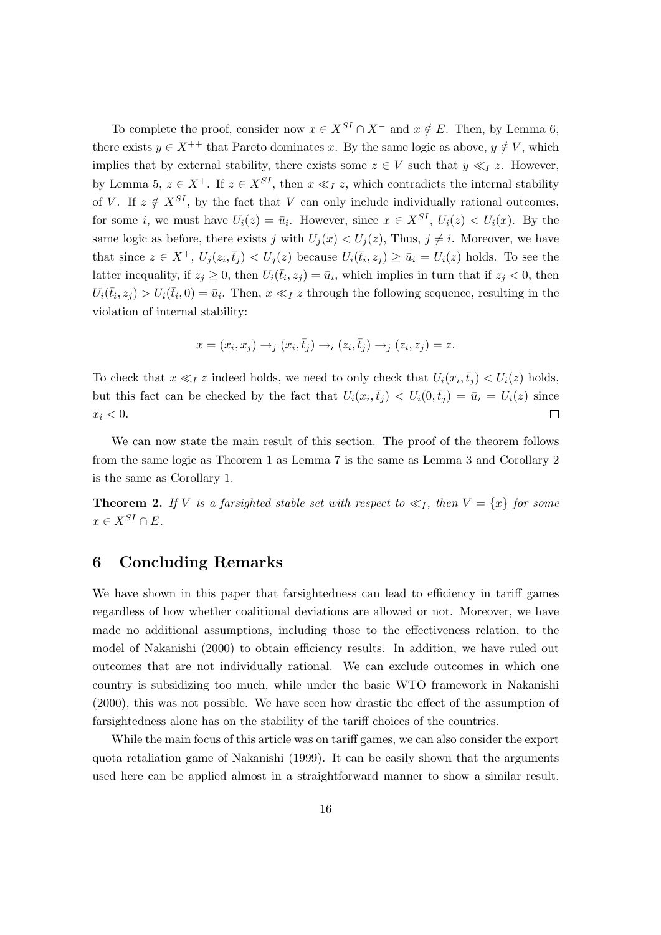To complete the proof, consider now  $x \in X^{SI} \cap X^-$  and  $x \notin E$ . Then, by Lemma 6, there exists  $y \in X^{++}$  that Pareto dominates x. By the same logic as above,  $y \notin V$ , which implies that by external stability, there exists some  $z \in V$  such that  $y \ll_I z$ . However, by Lemma 5,  $z \in X^+$ . If  $z \in X^{SI}$ , then  $x \ll_I z$ , which contradicts the internal stability of V. If  $z \notin X^{SI}$ , by the fact that V can only include individually rational outcomes, for some *i*, we must have  $U_i(z) = \bar{u}_i$ . However, since  $x \in X^{SI}$ ,  $U_i(z) < U_i(x)$ . By the same logic as before, there exists j with  $U_i(x) < U_i(z)$ , Thus,  $j \neq i$ . Moreover, we have that since  $z \in X^+$ ,  $U_j(z_i, \bar{t}_j) < U_j(z)$  because  $U_i(\bar{t}_i, z_j) \ge \bar{u}_i = U_i(z)$  holds. To see the latter inequality, if  $z_j \geq 0$ , then  $U_i(\bar{t}_i, z_j) = \bar{u}_i$ , which implies in turn that if  $z_j < 0$ , then  $U_i(\bar{t}_i, z_j) > U_i(\bar{t}_i, 0) = \bar{u}_i$ . Then,  $x \ll_I z$  through the following sequence, resulting in the violation of internal stability:

$$
x = (x_i, x_j) \rightarrow_j (x_i, \bar{t}_j) \rightarrow_i (z_i, \bar{t}_j) \rightarrow_j (z_i, z_j) = z.
$$

To check that  $x \ll_I z$  indeed holds, we need to only check that  $U_i(x_i, \bar{t}_j) < U_i(z)$  holds, but this fact can be checked by the fact that  $U_i(x_i, \bar{t}_j) < U_i(0, \bar{t}_j) = \bar{u}_i = U_i(z)$  since  $x_i < 0$ .  $\Box$ 

We can now state the main result of this section. The proof of the theorem follows from the same logic as Theorem 1 as Lemma 7 is the same as Lemma 3 and Corollary 2 is the same as Corollary 1.

**Theorem 2.** If V is a farsighted stable set with respect to  $\ll_I$ , then  $V = \{x\}$  for some  $x \in X^{SI} \cap E.$ 

### 6 Concluding Remarks

We have shown in this paper that farsightedness can lead to efficiency in tariff games regardless of how whether coalitional deviations are allowed or not. Moreover, we have made no additional assumptions, including those to the effectiveness relation, to the model of Nakanishi (2000) to obtain efficiency results. In addition, we have ruled out outcomes that are not individually rational. We can exclude outcomes in which one country is subsidizing too much, while under the basic WTO framework in Nakanishi (2000), this was not possible. We have seen how drastic the effect of the assumption of farsightedness alone has on the stability of the tariff choices of the countries.

While the main focus of this article was on tariff games, we can also consider the export quota retaliation game of Nakanishi (1999). It can be easily shown that the arguments used here can be applied almost in a straightforward manner to show a similar result.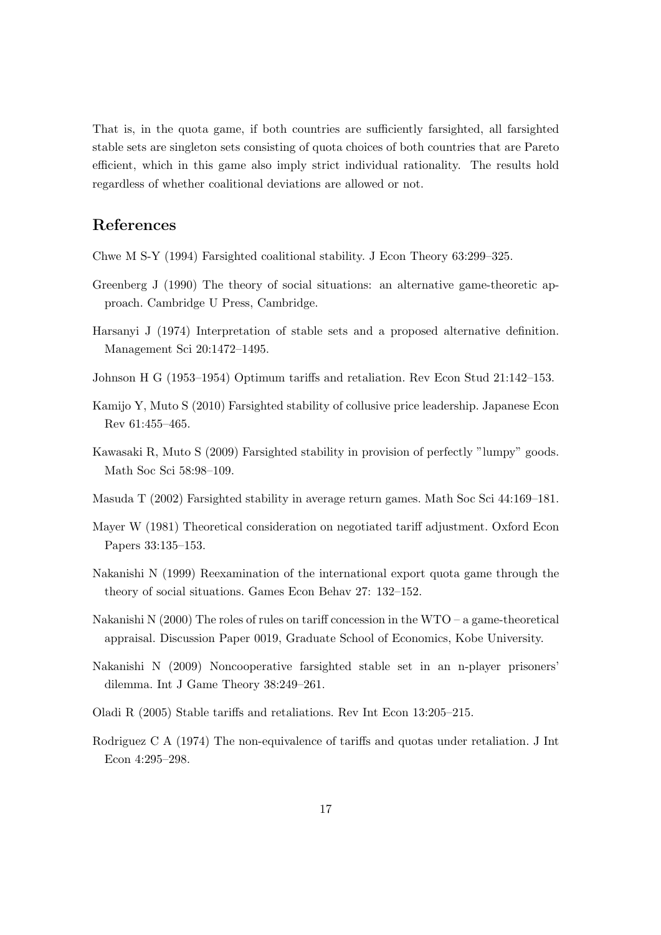That is, in the quota game, if both countries are sufficiently farsighted, all farsighted stable sets are singleton sets consisting of quota choices of both countries that are Pareto efficient, which in this game also imply strict individual rationality. The results hold regardless of whether coalitional deviations are allowed or not.

### References

Chwe M S-Y (1994) Farsighted coalitional stability. J Econ Theory 63:299–325.

- Greenberg J (1990) The theory of social situations: an alternative game-theoretic approach. Cambridge U Press, Cambridge.
- Harsanyi J (1974) Interpretation of stable sets and a proposed alternative definition. Management Sci 20:1472–1495.
- Johnson H G (1953–1954) Optimum tariffs and retaliation. Rev Econ Stud 21:142–153.
- Kamijo Y, Muto S (2010) Farsighted stability of collusive price leadership. Japanese Econ Rev 61:455–465.
- Kawasaki R, Muto S (2009) Farsighted stability in provision of perfectly "lumpy" goods. Math Soc Sci 58:98–109.
- Masuda T (2002) Farsighted stability in average return games. Math Soc Sci 44:169–181.
- Mayer W (1981) Theoretical consideration on negotiated tariff adjustment. Oxford Econ Papers 33:135–153.
- Nakanishi N (1999) Reexamination of the international export quota game through the theory of social situations. Games Econ Behav 27: 132–152.
- Nakanishi N  $(2000)$  The roles of rules on tariff concession in the WTO a game-theoretical appraisal. Discussion Paper 0019, Graduate School of Economics, Kobe University.
- Nakanishi N (2009) Noncooperative farsighted stable set in an n-player prisoners' dilemma. Int J Game Theory 38:249–261.
- Oladi R (2005) Stable tariffs and retaliations. Rev Int Econ 13:205–215.
- Rodriguez C A (1974) The non-equivalence of tariffs and quotas under retaliation. J Int Econ 4:295–298.